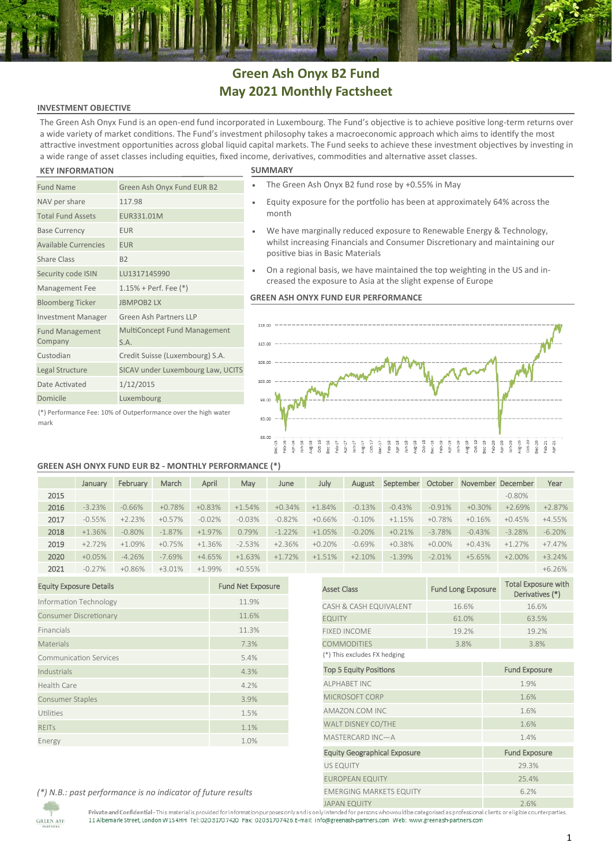## **Green Ash Onyx B2 Fund May 2021 Monthly Factsheet**

## **INVESTMENT OBJECTIVE**

The Green Ash Onyx Fund is an open-end fund incorporated in Luxembourg. The Fund's objective is to achieve positive long-term returns over a wide variety of market conditions. The Fund's investment philosophy takes a macroeconomic approach which aims to identify the most attractive investment opportunities across global liquid capital markets. The Fund seeks to achieve these investment objectives by investing in a wide range of asset classes including equities, fixed income, derivatives, commodities and alternative asset classes.

### **KEY INFORMATION SUMMARY**

mark

| <b>Fund Name</b>                                               | Green Ash Onyx Fund EUR B2                  |  |  |  |
|----------------------------------------------------------------|---------------------------------------------|--|--|--|
| NAV per share                                                  | 117.98                                      |  |  |  |
| <b>Total Fund Assets</b>                                       | EUR331.01M                                  |  |  |  |
| <b>Base Currency</b>                                           | <b>EUR</b>                                  |  |  |  |
| <b>Available Currencies</b>                                    | <b>EUR</b>                                  |  |  |  |
| <b>Share Class</b>                                             | <b>B2</b>                                   |  |  |  |
| Security code ISIN                                             | LU1317145990                                |  |  |  |
| Management Fee                                                 | $1.15%$ + Perf. Fee $(*)$                   |  |  |  |
| <b>Bloomberg Ticker</b>                                        | <b>JBMPOB2LX</b>                            |  |  |  |
| <b>Investment Manager</b>                                      | Green Ash Partners LLP                      |  |  |  |
| <b>Fund Management</b><br>Company                              | <b>MultiConcept Fund Management</b><br>S.A. |  |  |  |
| Custodian                                                      | Credit Suisse (Luxembourg) S.A.             |  |  |  |
| Legal Structure                                                | SICAV under Luxembourg Law, UCITS           |  |  |  |
| Date Activated                                                 | 1/12/2015                                   |  |  |  |
| Domicile                                                       | Luxembourg                                  |  |  |  |
| (*) Performance Fee: 10% of Outperformance over the high water |                                             |  |  |  |

- The Green Ash Onyx B2 fund rose by +0.55% in May
- Equity exposure for the portfolio has been at approximately 64% across the month
- We have marginally reduced exposure to Renewable Energy & Technology, whilst increasing Financials and Consumer Discretionary and maintaining our positive bias in Basic Materials
- On a regional basis, we have maintained the top weighting in the US and increased the exposure to Asia at the slight expense of Europe

### **GREEN ASH ONYX FUND EUR PERFORMANCE**



### **GREEN ASH ONYX FUND EUR B2 - MONTHLY PERFORMANCE (\*)**

|      | January   | February  | March    | April     | May       | June     | July     | August   | September | October   |          | November December | Year     |
|------|-----------|-----------|----------|-----------|-----------|----------|----------|----------|-----------|-----------|----------|-------------------|----------|
| 2015 |           |           |          |           |           |          |          |          |           |           |          | $-0.80\%$         |          |
| 2016 | $-3.23%$  | $-0.66%$  | $+0.78%$ | $+0.83%$  | $+1.54%$  | $+0.34%$ | $+1.84%$ | $-0.13%$ | $-0.43%$  | $-0.91%$  | $+0.30%$ | $+2.69%$          | $+2.87%$ |
| 2017 | $-0.55%$  | $+2.23%$  | $+0.57%$ | $-0.02%$  | $-0.03%$  | $-0.82%$ | $+0.66%$ | $-0.10%$ | $+1.15%$  | $+0.78%$  | $+0.16%$ | $+0.45%$          | $+4.55%$ |
| 2018 | $+1.36%$  | $-0.80\%$ | $-1.87%$ | $+1.97\%$ | 0.79%     | $-1.22%$ | $+1.05%$ | $-0.20%$ | $+0.21%$  | $-3.78%$  | $-0.43%$ | $-3.28%$          | $-6.20%$ |
| 2019 | $+2.72%$  | $+1.09%$  | $+0.75%$ | $+1.36%$  | $-2.53%$  | $+2.36%$ | $+0.20%$ | $-0.69%$ | $+0.38%$  | $+0.00\%$ | $+0.43%$ | $+1.27%$          | $+7.47%$ |
| 2020 | $+0.05%$  | $-4.26%$  | $-7.69%$ | $+4.65%$  | $+1.63%$  | $+1.72%$ | $+1.51%$ | $+2.10%$ | $-1.39%$  | $-2.01%$  | $+5.65%$ | $+2.00%$          | $+3.24%$ |
| 2021 | $-0.27\%$ | $+0.86%$  | $+3.01%$ | $+1.99%$  | $+0.55\%$ |          |          |          |           |           |          |                   | $+6.26%$ |

| <b>Equity Exposure Details</b> | <b>Fund Net Exposure</b> |
|--------------------------------|--------------------------|
| Information Technology         | 11.9%                    |
| <b>Consumer Discretionary</b>  | 11.6%                    |
| Financials                     | 11.3%                    |
| <b>Materials</b>               | 7.3%                     |
| <b>Communication Services</b>  | 5.4%                     |
| Industrials                    | 4.3%                     |
| <b>Health Care</b>             | 4.2%                     |
| <b>Consumer Staples</b>        | 3.9%                     |
| Utilities                      | 1.5%                     |
| <b>RFITs</b>                   | 1.1%                     |
| Energy                         | 1.0%                     |

|                                     |                           | $+6.26%$                                      |  |  |
|-------------------------------------|---------------------------|-----------------------------------------------|--|--|
| <b>Asset Class</b>                  | <b>Fund Long Exposure</b> | <b>Total Exposure with</b><br>Derivatives (*) |  |  |
| CASH & CASH EQUIVALENT              | 16.6%                     | 16.6%                                         |  |  |
| <b>EQUITY</b>                       | 61.0%                     | 63.5%                                         |  |  |
| <b>FIXED INCOME</b>                 | 19.2%                     | 19.2%                                         |  |  |
| <b>COMMODITIES</b>                  | 3.8%                      |                                               |  |  |
| (*) This excludes FX hedging        |                           |                                               |  |  |
| <b>Top 5 Equity Positions</b>       | <b>Fund Exposure</b>      |                                               |  |  |
| <b>ALPHABET INC</b>                 | 1.9%                      |                                               |  |  |
| MICROSOFT CORP                      | 1.6%                      |                                               |  |  |
| AMAZON.COM INC                      |                           | 1.6%                                          |  |  |
| WALT DISNEY CO/THE                  |                           | 1.6%                                          |  |  |
| MASTERCARD INC-A                    |                           | 1.4%                                          |  |  |
| <b>Equity Geographical Exposure</b> |                           | <b>Fund Exposure</b>                          |  |  |
| <b>US EQUITY</b>                    |                           | 29.3%                                         |  |  |
| <b>EUROPEAN EQUITY</b>              |                           | 25.4%                                         |  |  |
| <b>EMERGING MARKETS EQUITY</b>      |                           | 6.2%                                          |  |  |
| <b>JAPAN EQUITY</b>                 |                           | 2.6%                                          |  |  |

*(\*) N.B.: past performance is no indicator of future results*

Private and Confidential-This material is provided for information purposes only and is only intended for persons who would be categorised as professional clients ore ligible counterparties.<br>11 Albemarle Street, London W1S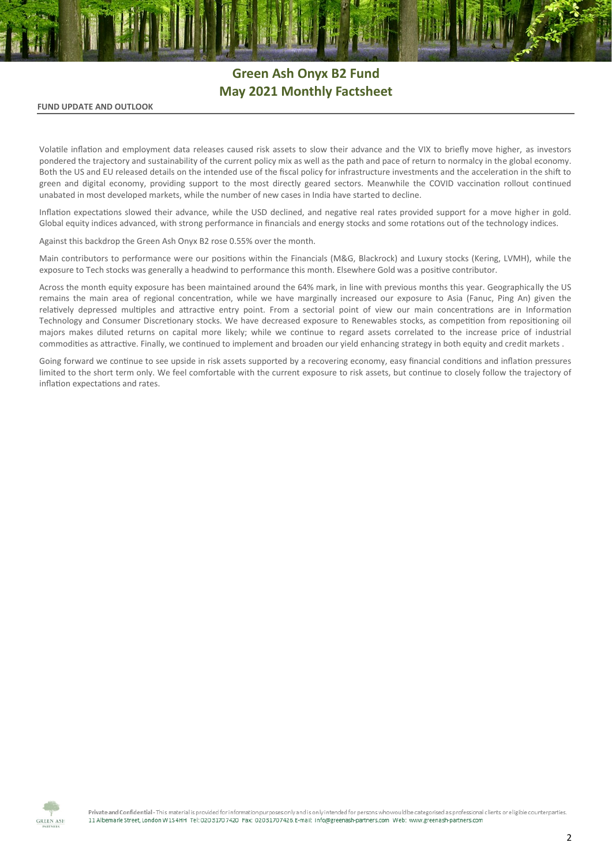# **Green Ash Onyx B2 Fund May 2021 Monthly Factsheet**

### **FUND UPDATE AND OUTLOOK**

Volatile inflation and employment data releases caused risk assets to slow their advance and the VIX to briefly move higher, as investors pondered the trajectory and sustainability of the current policy mix as well as the path and pace of return to normalcy in the global economy. Both the US and EU released details on the intended use of the fiscal policy for infrastructure investments and the acceleration in the shift to green and digital economy, providing support to the most directly geared sectors. Meanwhile the COVID vaccination rollout continued unabated in most developed markets, while the number of new cases in India have started to decline.

Inflation expectations slowed their advance, while the USD declined, and negative real rates provided support for a move higher in gold. Global equity indices advanced, with strong performance in financials and energy stocks and some rotations out of the technology indices.

Against this backdrop the Green Ash Onyx B2 rose 0.55% over the month.

Main contributors to performance were our positions within the Financials (M&G, Blackrock) and Luxury stocks (Kering, LVMH), while the exposure to Tech stocks was generally a headwind to performance this month. Elsewhere Gold was a positive contributor.

Across the month equity exposure has been maintained around the 64% mark, in line with previous months this year. Geographically the US remains the main area of regional concentration, while we have marginally increased our exposure to Asia (Fanuc, Ping An) given the relatively depressed multiples and attractive entry point. From a sectorial point of view our main concentrations are in Information Technology and Consumer Discretionary stocks. We have decreased exposure to Renewables stocks, as competition from repositioning oil majors makes diluted returns on capital more likely; while we continue to regard assets correlated to the increase price of industrial commodities as attractive. Finally, we continued to implement and broaden our yield enhancing strategy in both equity and credit markets .

Going forward we continue to see upside in risk assets supported by a recovering economy, easy financial conditions and inflation pressures limited to the short term only. We feel comfortable with the current exposure to risk assets, but continue to closely follow the trajectory of inflation expectations and rates.



Private and Confidential - This material is provided for information purposes only and is only intended for persons who would be categorised as professional clients or eligible counterparties. 11 Albemark Street, London W154HH Tel: 020 3170 7420 Fax: 02031707426 E-mail: info@greenash-partners.com Web: www.greenash-partners.com